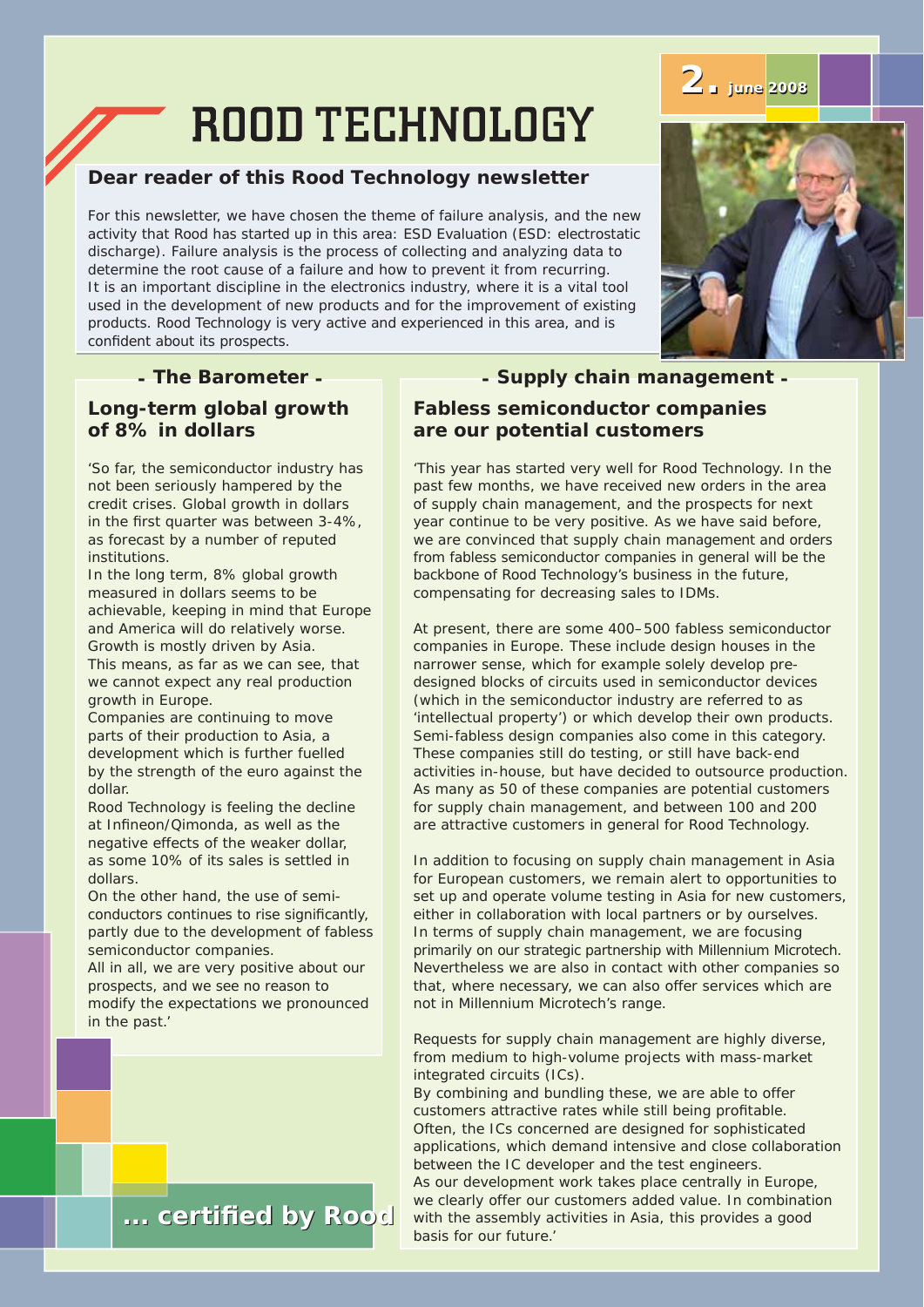# **ROOD TECHNOLOGY**

## **Dear reader of this Rood Technology newsletter**

For this newsletter, we have chosen the theme of failure analysis, and the new activity that Rood has started up in this area: ESD Evaluation (ESD: electrostatic discharge). Failure analysis is the process of collecting and analyzing data to determine the root cause of a failure and how to prevent it from recurring. It is an important discipline in the electronics industry, where it is a vital tool used in the development of new products and for the improvement of existing products. Rood Technology is very active and experienced in this area, and is confident about its prospects.

### *- The Barometer -*

#### **Long-term global growth of 8% in dollars**

'So far, the semiconductor industry has not been seriously hampered by the credit crises. Global growth in dollars in the first quarter was between 3-4%, as forecast by a number of reputed institutions.

In the long term, 8% global growth measured in dollars seems to be achievable, keeping in mind that Europe and America will do relatively worse. Growth is mostly driven by Asia. This means, as far as we can see, that we cannot expect any real production

growth in Europe. Companies are continuing to move parts of their production to Asia, a development which is further fuelled by the strength of the euro against the dollar.

Rood Technology is feeling the decline at Infineon/Qimonda, as well as the negative effects of the weaker dollar, as some 10% of its sales is settled in dollars.

On the other hand, the use of semiconductors continues to rise significantly, partly due to the development of fabless semiconductor companies.

All in all, we are very positive about our prospects, and we see no reason to modify the expectations we pronounced in the past.'



compensating for decreasing sales to IDMs.

**are our potential customers**

At present, there are some 400–500 fabless semiconductor companies in Europe. These include design houses in the narrower sense, which for example solely develop predesigned blocks of circuits used in semiconductor devices (which in the semiconductor industry are referred to as 'intellectual property') or which develop their own products. Semi-fabless design companies also come in this category. These companies still do testing, or still have back-end activities in-house, but have decided to outsource production. As many as 50 of these companies are potential customers for supply chain management, and between 100 and 200 are attractive customers in general for Rood Technology.

*- Supply chain management -*

'This year has started very well for Rood Technology. In the

from fabless semiconductor companies in general will be the backbone of Rood Technology's business in the future,

**Fabless semiconductor companies**

In addition to focusing on supply chain management in Asia for European customers, we remain alert to opportunities to set up and operate volume testing in Asia for new customers, either in collaboration with local partners or by ourselves. In terms of supply chain management, we are focusing primarily on our strategic partnership with Millennium Microtech. Nevertheless we are also in contact with other companies so that, where necessary, we can also offer services which are not in Millennium Microtech's range.

Requests for supply chain management are highly diverse, from medium to high-volume projects with mass-market integrated circuits (ICs).

By combining and bundling these, we are able to offer customers attractive rates while still being profitable. Often, the ICs concerned are designed for sophisticated applications, which demand intensive and close collaboration between the IC developer and the test engineers. As our development work takes place centrally in Europe, we clearly offer our customers added value. In combination with the assembly activities in Asia, this provides a good basis for our future.'





**2. june 2008 june 2008**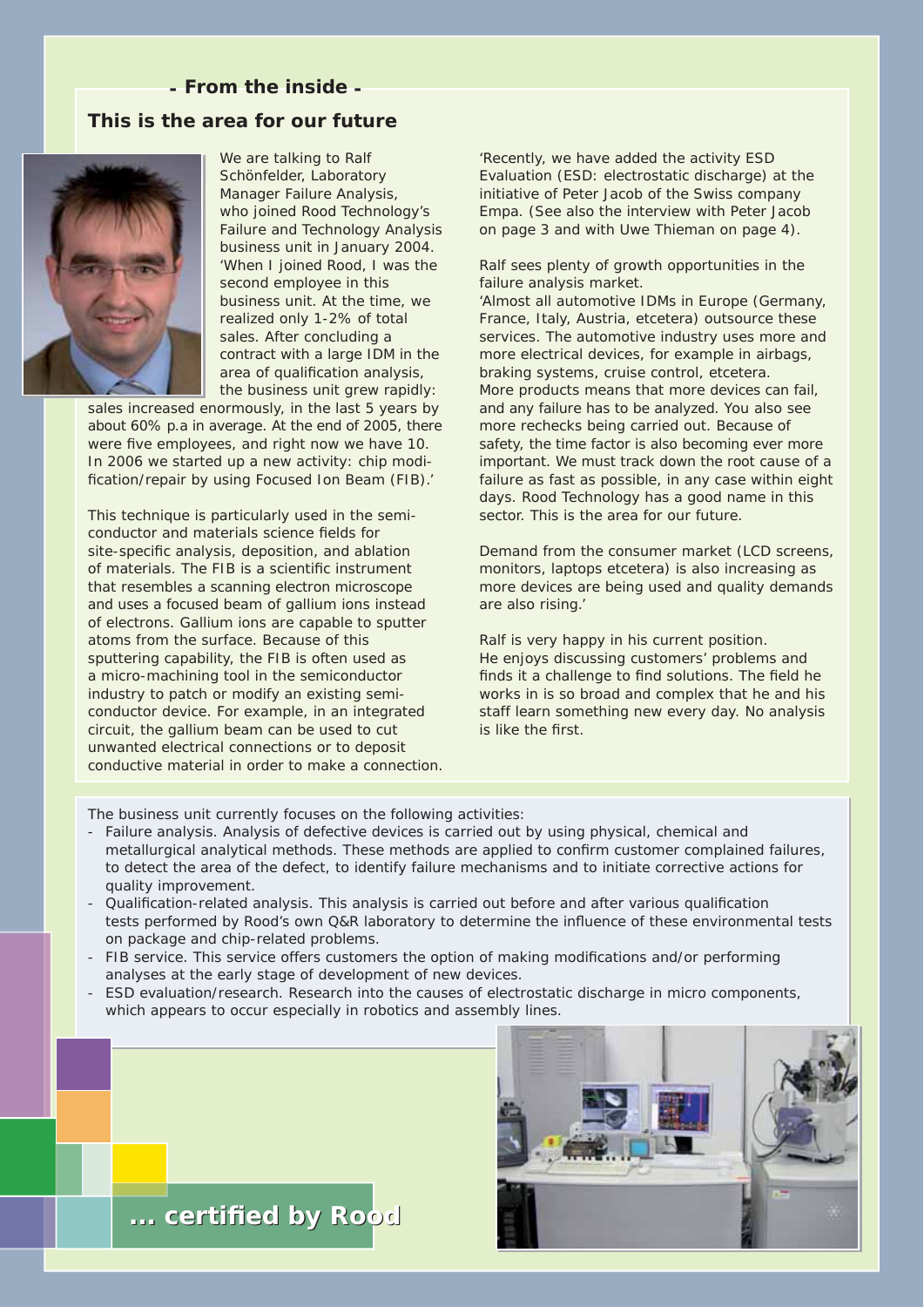#### *- From the inside -*

#### **This is the area for our future**



 We are talking to Ralf Schönfelder, Laboratory Manager Failure Analysis, who joined Rood Technology's Failure and Technology Analysis business unit in January 2004. 'When I joined Rood, I was the second employee in this business unit. At the time, we realized only 1-2% of total sales. After concluding a contract with a large IDM in the area of qualification analysis, the business unit grew rapidly:

sales increased enormously, in the last 5 years by about 60% p.a in average. At the end of 2005, there were five employees, and right now we have 10. In 2006 we started up a new activity: chip modification/repair by using Focused Ion Beam (FIB).'

This technique is particularly used in the semiconductor and materials science fields for site-specific analysis, deposition, and ablation of materials. The FIB is a scientific instrument that resembles a scanning electron microscope and uses a focused beam of gallium ions instead of electrons. Gallium ions are capable to sputter atoms from the surface. Because of this sputtering capability, the FIB is often used as a micro-machining tool in the semiconductor industry to patch or modify an existing semiconductor device. For example, in an integrated circuit, the gallium beam can be used to cut unwanted electrical connections or to deposit conductive material in order to make a connection.

'Recently, we have added the activity ESD Evaluation (ESD: electrostatic discharge) at the initiative of Peter Jacob of the Swiss company Empa. (See also the interview with Peter Jacob on page 3 and with Uwe Thieman on page 4).

Ralf sees plenty of growth opportunities in the failure analysis market.

'Almost all automotive IDMs in Europe (Germany, France, Italy, Austria, etcetera) outsource these services. The automotive industry uses more and more electrical devices, for example in airbags, braking systems, cruise control, etcetera. More products means that more devices can fail, and any failure has to be analyzed. You also see more rechecks being carried out. Because of safety, the time factor is also becoming ever more important. We must track down the root cause of a failure as fast as possible, in any case within eight days. Rood Technology has a good name in this sector. This is the area for our future.

Demand from the consumer market (LCD screens, monitors, laptops etcetera) is also increasing as more devices are being used and quality demands are also rising.'

Ralf is very happy in his current position. He enjoys discussing customers' problems and finds it a challenge to find solutions. The field he works in is so broad and complex that he and his staff learn something new every day. No analysis is like the first

The business unit currently focuses on the following activities:

- Failure analysis. Analysis of defective devices is carried out by using physical, chemical and metallurgical analytical methods. These methods are applied to confirm customer complained failures, to detect the area of the defect, to identify failure mechanisms and to initiate corrective actions for quality improvement.
- Qualification-related analysis. This analysis is carried out before and after various qualification tests performed by Rood's own Q&R laboratory to determine the influence of these environmental tests on package and chip-related problems.
- FIB service. This service offers customers the option of making modifications and/or performing analyses at the early stage of development of new devices.
- ESD evaluation/research. Research into the causes of electrostatic discharge in micro components, which appears to occur especially in robotics and assembly lines.



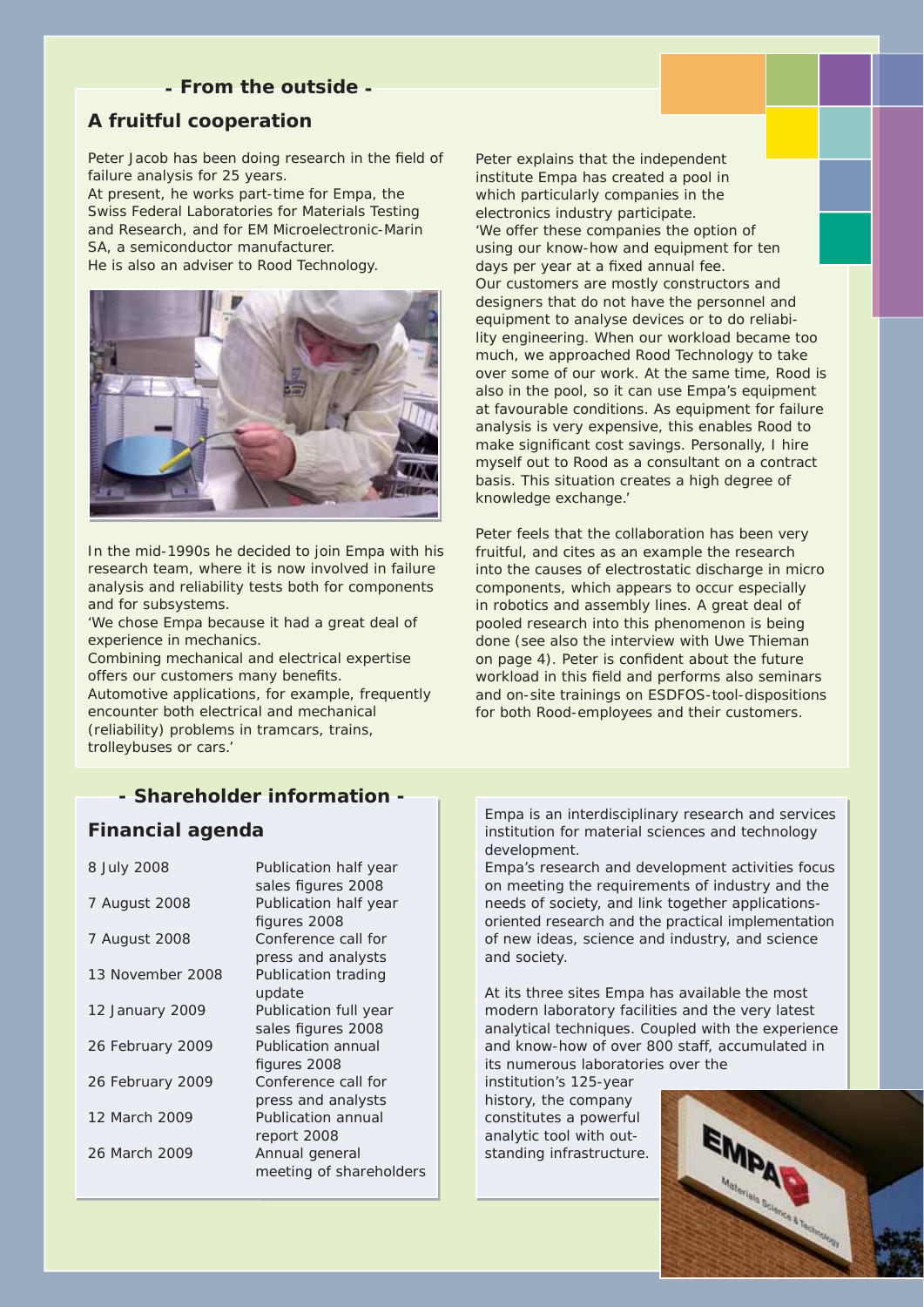#### *- From the outside -*

#### **A fruitful cooperation**

Peter Jacob has been doing research in the field of failure analysis for 25 years.

At present, he works part-time for Empa, the Swiss Federal Laboratories for Materials Testing and Research, and for EM Microelectronic-Marin SA, a semiconductor manufacturer. He is also an adviser to Rood Technology.



In the mid-1990s he decided to join Empa with his research team, where it is now involved in failure analysis and reliability tests both for components and for subsystems.

'We chose Empa because it had a great deal of experience in mechanics.

Combining mechanical and electrical expertise offers our customers many benefits.

Automotive applications, for example, frequently encounter both electrical and mechanical (reliability) problems in tramcars, trains, trolleybuses or cars.'

*- Shareholder information -*

#### **Financial agenda**

| 8 July 2008      | Publication half year<br>sales figures 2008 |
|------------------|---------------------------------------------|
| 7 August 2008    | Publication half year<br>figures 2008       |
| 7 August 2008    | Conference call for<br>press and analysts   |
| 13 November 2008 | Publication trading<br>update               |
| 12 January 2009  | Publication full year<br>sales figures 2008 |
| 26 February 2009 | Publication annual<br>figures 2008          |
| 26 February 2009 | Conference call for<br>press and analysts   |
| 12 March 2009    | <b>Publication annual</b><br>report 2008    |
| 26 March 2009    | Annual general<br>meeting of shareholders   |

Peter explains that the independent institute Empa has created a pool in which particularly companies in the electronics industry participate. 'We offer these companies the option of using our know-how and equipment for ten days per year at a fixed annual fee. Our customers are mostly constructors and designers that do not have the personnel and equipment to analyse devices or to do reliability engineering. When our workload became too much, we approached Rood Technology to take over some of our work. At the same time, Rood is also in the pool, so it can use Empa's equipment at favourable conditions. As equipment for failure analysis is very expensive, this enables Rood to make significant cost savings. Personally, I hire myself out to Rood as a consultant on a contract basis. This situation creates a high degree of knowledge exchange.'

Peter feels that the collaboration has been very fruitful, and cites as an example the research into the causes of electrostatic discharge in micro components, which appears to occur especially in robotics and assembly lines. A great deal of pooled research into this phenomenon is being done (see also the interview with Uwe Thieman on page 4). Peter is confident about the future workload in this field and performs also seminars and on-site trainings on ESDFOS-tool-dispositions for both Rood-employees and their customers.

Empa is an interdisciplinary research and services institution for material sciences and technology development.

Empa's research and development activities focus on meeting the requirements of industry and the needs of society, and link together applicationsoriented research and the practical implementation of new ideas, science and industry, and science and society.

At its three sites Empa has available the most modern laboratory facilities and the very latest analytical techniques. Coupled with the experience and know-how of over 800 staff, accumulated in its numerous laboratories over the

institution's 125-year history, the company constitutes a powerful analytic tool with outstanding infrastructure.

![](_page_2_Picture_18.jpeg)